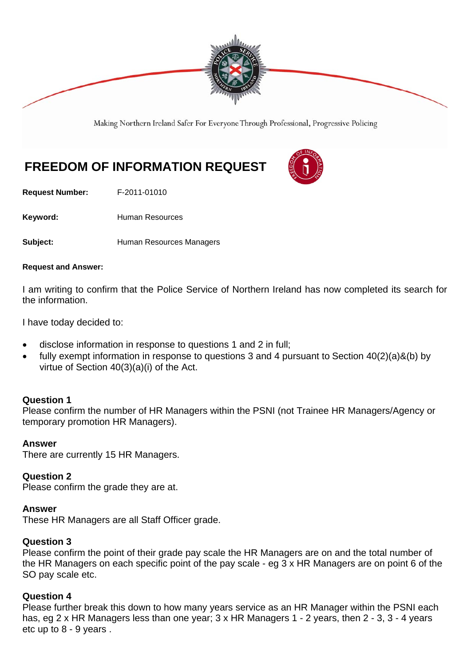

Making Northern Ireland Safer For Everyone Through Professional, Progressive Policing

# **FREEDOM OF INFORMATION REQUEST**

**Request Number:** F-2011-01010

Keyword: **Human Resources** 

**Subject: Human Resources Managers** 

#### **Request and Answer:**

I am writing to confirm that the Police Service of Northern Ireland has now completed its search for the information.

I have today decided to:

- disclose information in response to questions 1 and 2 in full;
- fully exempt information in response to questions 3 and 4 pursuant to Section 40(2)(a)&(b) by virtue of Section 40(3)(a)(i) of the Act.

### **Question 1**

Please confirm the number of HR Managers within the PSNI (not Trainee HR Managers/Agency or temporary promotion HR Managers).

### **Answer**

There are currently 15 HR Managers.

### **Question 2**

Please confirm the grade they are at.

### **Answer**

These HR Managers are all Staff Officer grade.

### **Question 3**

Please confirm the point of their grade pay scale the HR Managers are on and the total number of the HR Managers on each specific point of the pay scale - eg 3 x HR Managers are on point 6 of the SO pay scale etc.

### **Question 4**

Please further break this down to how many years service as an HR Manager within the PSNI each has, eg 2 x HR Managers less than one year; 3 x HR Managers 1 - 2 years, then 2 - 3, 3 - 4 years etc up to 8 - 9 years .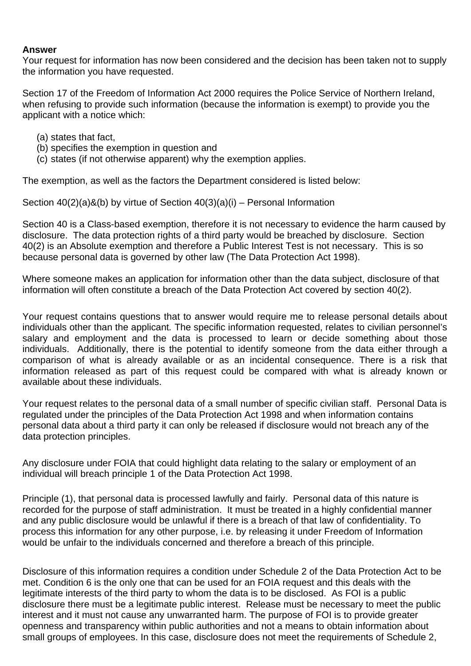## **Answer**

Your request for information has now been considered and the decision has been taken not to supply the information you have requested.

Section 17 of the Freedom of Information Act 2000 requires the Police Service of Northern Ireland, when refusing to provide such information (because the information is exempt) to provide you the applicant with a notice which:

- (a) states that fact,
- (b) specifies the exemption in question and
- (c) states (if not otherwise apparent) why the exemption applies.

The exemption, as well as the factors the Department considered is listed below:

Section 40(2)(a)&(b) by virtue of Section 40(3)(a)(i) – Personal Information

Section 40 is a Class-based exemption, therefore it is not necessary to evidence the harm caused by disclosure. The data protection rights of a third party would be breached by disclosure. Section 40(2) is an Absolute exemption and therefore a Public Interest Test is not necessary. This is so because personal data is governed by other law (The Data Protection Act 1998).

Where someone makes an application for information other than the data subject, disclosure of that information will often constitute a breach of the Data Protection Act covered by section 40(2).

Your request contains questions that to answer would require me to release personal details about individuals other than the applicant*.* The specific information requested, relates to civilian personnel's salary and employment and the data is processed to learn or decide something about those individuals. Additionally, there is the potential to identify someone from the data either through a comparison of what is already available or as an incidental consequence. There is a risk that information released as part of this request could be compared with what is already known or available about these individuals.

Your request relates to the personal data of a small number of specific civilian staff. Personal Data is regulated under the principles of the Data Protection Act 1998 and when information contains personal data about a third party it can only be released if disclosure would not breach any of the data protection principles.

Any disclosure under FOIA that could highlight data relating to the salary or employment of an individual will breach principle 1 of the Data Protection Act 1998.

Principle (1), that personal data is processed lawfully and fairly. Personal data of this nature is recorded for the purpose of staff administration. It must be treated in a highly confidential manner and any public disclosure would be unlawful if there is a breach of that law of confidentiality. To process this information for any other purpose, i.e. by releasing it under Freedom of Information would be unfair to the individuals concerned and therefore a breach of this principle.

Disclosure of this information requires a condition under Schedule 2 of the Data Protection Act to be met. Condition 6 is the only one that can be used for an FOIA request and this deals with the legitimate interests of the third party to whom the data is to be disclosed. As FOI is a public disclosure there must be a legitimate public interest. Release must be necessary to meet the public interest and it must not cause any unwarranted harm. The purpose of FOI is to provide greater openness and transparency within public authorities and not a means to obtain information about small groups of employees. In this case, disclosure does not meet the requirements of Schedule 2,